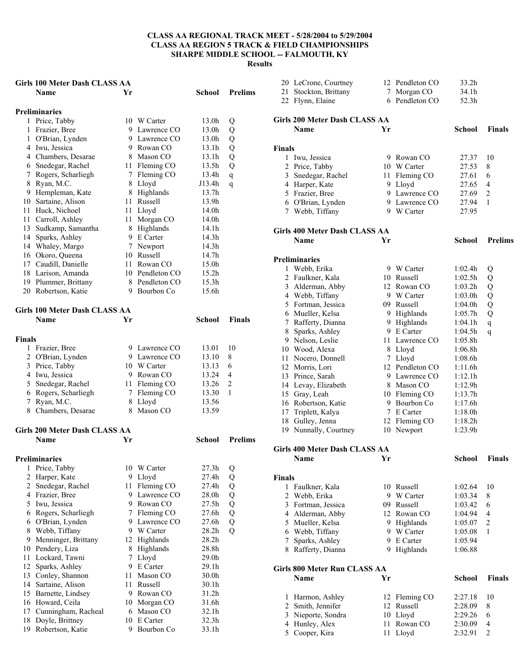### **Girls 100 Meter Dash CLASS AA**

|        | GILIS TOO MEIEL DASII CLASS AA<br>Name   | Yr              |                        | School            | <b>Prelims</b> |
|--------|------------------------------------------|-----------------|------------------------|-------------------|----------------|
|        |                                          |                 |                        |                   |                |
|        | <b>Preliminaries</b>                     |                 |                        |                   |                |
|        | 1 Price, Tabby                           |                 | 10 W Carter            | 13.0h             | Q              |
| 1      | Frazier, Bree                            |                 | 9 Lawrence CO          | 13.0h             | Q              |
|        | 1 O'Brian, Lynden                        |                 | 9 Lawrence CO          | 13.0h             | Q              |
|        | 4 Iwu, Jessica                           |                 | 9 Rowan CO             | 13.1h             | Q              |
|        | 4 Chambers, Desarae                      |                 | 8 Mason CO             | 13.1h             | Q              |
|        | 6 Snedegar, Rachel                       |                 | 11 Fleming CO          | 13.5h             | Q              |
|        | 7 Rogers, Scharliegh                     |                 | 7 Fleming CO           | 13.4h             | $\mathbf{q}$   |
| 8      | Ryan, M.C.                               |                 | 8 Lloyd                | J13.4h            | $\mathbf q$    |
|        | 9 Hempleman, Kate<br>10 Sartaine, Alison | 11              | 8 Highlands<br>Russell | 13.7h<br>13.9h    |                |
|        |                                          |                 |                        | 14.0h             |                |
| 11     | 11 Huck, Nichoel<br>Carroll, Ashley      | 11 -            | 11 Lloyd<br>Morgan CO  | 14.0h             |                |
|        | 13 Sudkamp, Samantha                     |                 | 8 Highlands            | 14.1h             |                |
|        | 14 Sparks, Ashley                        |                 | 9 E Carter             | 14.3h             |                |
|        | 14 Whaley, Margo                         |                 | 7 Newport              | 14.3h             |                |
|        | 16 Okoro, Queena                         |                 | 10 Russell             | 14.7h             |                |
|        | 17 Caudill, Danielle                     |                 | 11 Rowan CO            | 15.0h             |                |
|        | 18 Larison, Amanda                       |                 | 10 Pendleton CO        | 15.2h             |                |
|        | 19 Plummer, Brittany                     |                 | 8 Pendleton CO         | 15.3 <sub>h</sub> |                |
|        | 20 Robertson, Katie                      |                 | 9 Bourbon Co           | 15.6h             |                |
|        |                                          |                 |                        |                   |                |
|        | Girls 100 Meter Dash CLASS AA            |                 |                        |                   |                |
|        | <b>Name</b>                              | Yr              |                        | <b>School</b>     | <b>Finals</b>  |
| Finals |                                          |                 |                        |                   |                |
|        | 1 Frazier, Bree                          |                 | 9 Lawrence CO          | 13.01             | 10             |
|        | 2 O'Brian, Lynden                        |                 | 9 Lawrence CO          | 13.10             | 8              |
|        | 3 Price, Tabby                           |                 | 10 W Carter            | 13.13             | 6              |
|        | 4 Iwu, Jessica                           |                 | 9 Rowan CO             | 13.24             | 4              |
|        | 5 Snedegar, Rachel                       |                 | 11 Fleming CO          | 13.26             | 2              |
|        | 6 Rogers, Scharliegh                     | $7\overline{ }$ | Fleming CO             | 13.30             | 1              |
| 7      | Ryan, M.C.                               | 8               | Lloyd                  | 13.56             |                |
|        | 8 Chambers, Desarae                      | 8               | Mason CO               | 13.59             |                |
|        | <b>Girls 200 Meter Dash CLASS AA</b>     |                 |                        |                   |                |
|        | Name                                     | Yr              |                        | School            | <b>Prelims</b> |
|        | <b>Preliminaries</b>                     |                 |                        |                   |                |
| 1      | Price, Tabby                             |                 | 10 W Carter            | 27.3h             | Q              |
| 2      | Harper, Kate                             | 9.              | Lloyd                  | 27.4h             | Q              |
| 2      | Snedegar, Rachel                         | 11              | Fleming CO             | 27.4h             | Q              |
| 4      | Frazier, Bree                            | 9.              | Lawrence CO            | 28.0h             | Q              |
| 5      | Iwu, Jessica                             | 9               | Rowan CO               | 27.5h             | Q              |
| 6      | Rogers, Scharliegh                       | 7               | Fleming CO             | 27.6h             | Q              |
| 6      | O'Brian, Lynden                          |                 | 9 Lawrence CO          | 27.6h             | Q              |
| 8      | Webb, Tiffany                            |                 | 9 W Carter             | 28.2 <sub>h</sub> | Q              |
| 9      | Menninger, Brittany                      | 12              | Highlands              | 28.2 <sub>h</sub> |                |
| 10     | Pendery, Liza                            | 8               | Highlands              | 28.8h             |                |
| 11     | Lockard, Tawni                           | 7               | Lloyd                  | 29.0h             |                |
| 12     | Sparks, Ashley                           | 9               | E Carter               | 29.1h             |                |
| 13     | Conley, Shannon                          | 11              | Mason CO               | 30.0h             |                |
| 14     | Sartaine, Alison                         | 11              | Russell                | 30.1h             |                |
| 15     | Barnette, Lindsey                        | 9               | Rowan CO               | 31.2h             |                |
| 16     | Howard, Ceila                            | 10              | Morgan CO              | 31.6h             |                |

 Cunningham, Racheal 6 Mason CO 32.1h Doyle, Brittney 10 E Carter 32.3h Robertson, Katie 9 Bourbon Co 33.1h

|                | 20 LeCrone, Courtney                 |             | 12 Pendleton CO | 33.2h         |                |
|----------------|--------------------------------------|-------------|-----------------|---------------|----------------|
| 21             | Stockton, Brittany                   |             | 7 Morgan CO     | 34.1h         |                |
|                | 22 Flynn, Elaine                     |             | 6 Pendleton CO  | 52.3h         |                |
|                | Girls 200 Meter Dash CLASS AA        |             |                 |               |                |
|                | <b>Name</b>                          | Yr          |                 | <b>School</b> | <b>Finals</b>  |
|                |                                      |             |                 |               |                |
| <b>Finals</b>  |                                      |             |                 |               |                |
| 1              | Iwu, Jessica                         |             | 9 Rowan CO      | 27.37         | 10             |
|                | 2 Price, Tabby                       |             | 10 W Carter     | 27.53         | 8              |
|                | 3 Snedegar, Rachel                   | 11-         | Fleming CO      | 27.61         | 6              |
|                | 4 Harper, Kate                       |             | 9 Lloyd         | 27.65         | 4              |
|                | 5 Frazier, Bree                      |             | 9 Lawrence CO   | 27.69         | 2              |
|                | 6 O'Brian, Lynden                    |             | 9 Lawrence CO   | 27.94         | 1              |
|                | 7 Webb, Tiffany                      |             | 9 W Carter      | 27.95         |                |
|                | <b>Girls 400 Meter Dash CLASS AA</b> |             |                 |               |                |
|                | Name                                 | Yr          |                 | School        | <b>Prelims</b> |
|                | <b>Preliminaries</b>                 |             |                 |               |                |
| 1              | Webb, Erika                          |             | 9 W Carter      | 1:02.4h       |                |
|                | 2 Faulkner, Kala                     |             | 10 Russell      | 1:02.5h       | Q<br>Q         |
|                | 3 Alderman, Abby                     |             | 12 Rowan CO     | 1:03.2h       | Q              |
|                | 4 Webb, Tiffany                      |             | 9 W Carter      | 1:03.0h       | Q              |
|                | 5 Fortman, Jessica                   |             | 09 Russell      | 1:04.0h       | Q              |
|                | 6 Mueller, Kelsa                     |             | 9 Highlands     | 1:05.7h       | Q              |
|                | 7 Rafferty, Dianna                   |             | 9 Highlands     | 1:04.1h       | $\mathbf q$    |
|                | 8 Sparks, Ashley                     |             | 9 E Carter      | 1:04.5h       | q              |
|                | 9 Nelson, Leslie                     |             | 11 Lawrence CO  | 1:05.8h       |                |
|                | 10 Wood, Alexa                       |             | 8 Lloyd         | 1:06.8h       |                |
|                | 11 Nocero, Donnell                   | $7^{\circ}$ | Lloyd           | 1:08.6h       |                |
|                | 12 Morris, Lori                      |             | 12 Pendleton CO | 1:11.6h       |                |
|                | 13 Prince, Sarah                     |             | 9 Lawrence CO   | 1:12.1h       |                |
|                | 14 Levay, Elizabeth                  |             | 8 Mason CO      | 1:12.9h       |                |
|                | 15 Gray, Leah                        |             | 10 Fleming CO   | 1:13.7h       |                |
|                | 16 Robertson, Katie                  |             | 9 Bourbon Co    | 1:17.6h       |                |
|                | 17 Triplett, Kalya                   |             | 7 E Carter      | 1:18.0h       |                |
|                | 18 Gulley, Jenna                     |             | 12 Fleming CO   | 1:18.2h       |                |
|                | 19 Nunnally, Courtney                |             | 10 Newport      | 1:23.9h       |                |
|                |                                      |             |                 |               |                |
|                | <b>Girls 400 Meter Dash CLASS AA</b> |             |                 |               |                |
|                | Name                                 | Υr          |                 | <b>School</b> | <b>Finals</b>  |
| <b>Finals</b>  |                                      |             |                 |               |                |
| 1              | Faulkner, Kala                       |             | 10 Russell      | 1:02.64       | 10             |
| $\overline{2}$ | Webb, Erika                          | 9           | W Carter        | 1:03.34       | 8              |
|                | 3 Fortman, Jessica                   | 09.         | Russell         | 1:03.42       | 6              |
|                | 4 Alderman, Abby                     |             | 12 Rowan CO     | 1:04.94       | 4              |
|                | 5 Mueller, Kelsa                     |             | 9 Highlands     | 1:05.07       | 2              |
|                | 6 Webb, Tiffany                      |             | 9 W Carter      | 1:05.08       | 1              |
|                | 7 Sparks, Ashley                     | 9           | E Carter        | 1:05.94       |                |
|                | 8 Rafferty, Dianna                   | 9.          | Highlands       | 1:06.88       |                |
|                | Girls 800 Meter Run CLASS AA         |             |                 |               |                |
|                | Name                                 | Yr          |                 | <b>School</b> | <b>Finals</b>  |
|                |                                      |             |                 |               |                |
| 1              | Harmon, Ashley                       | 12          | Fleming CO      | 2:27.18       | 10             |
| $\overline{2}$ | Smith, Jennifer                      |             | 12 Russell      | 2:28.09       | 8              |

 Nieporte, Sondra 10 Lloyd 2:29.26 6 4 Hunley, Alex 11 Rowan CO 2:30.09 4<br>5 Cooper, Kira 11 Lloyd 2:32.91 2

5 Cooper, Kira 11 Lloyd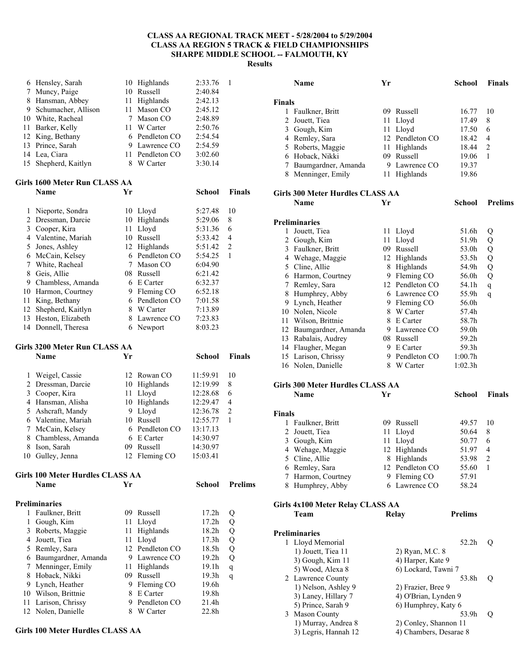|        | 6 Hensley, Sarah                        |      | 10 Highlands                 | 2:33.76              | 1              |
|--------|-----------------------------------------|------|------------------------------|----------------------|----------------|
|        | 7 Muncy, Paige                          |      | 10 Russell                   | 2:40.84              |                |
|        | 8 Hansman, Abbey                        |      | 11 Highlands                 | 2:42.13              |                |
|        | 9 Schumacher, Allison                   | 11 - | Mason CO                     | 2:45.12              |                |
|        | 10 White, Racheal                       |      | 7 Mason CO                   | 2:48.89              |                |
|        | 11 Barker, Kelly                        |      | 11 W Carter                  | 2:50.76              |                |
|        | 12 King, Bethany                        |      | 6 Pendleton CO               | 2:54.54              |                |
|        | 13 Prince, Sarah                        |      | 9 Lawrence CO                | 2:54.59              |                |
|        | 14 Lea, Ciara                           |      | 11 Pendleton CO              | 3:02.60              |                |
| 15     | Shepherd, Kaitlyn                       | 8    | W Carter                     | 3:30.14              |                |
|        |                                         |      |                              |                      |                |
|        | Girls 1600 Meter Run CLASS AA           |      |                              |                      |                |
|        | Name                                    | Yr   |                              | School               | Finals         |
|        |                                         |      |                              |                      |                |
| 1      | Nieporte, Sondra                        |      | 10 Lloyd                     | 5:27.48              | 10             |
| 2      | Dressman, Darcie                        |      | 10 Highlands                 | 5:29.06              | 8              |
|        | 3 Cooper, Kira                          |      | 11 Lloyd                     | 5:31.36              | 6              |
|        | 4 Valentine, Mariah                     |      | 10 Russell                   | 5:33.42              | 4              |
| 5      | Jones, Ashley                           |      | 12 Highlands                 | 5:51.42              | $\overline{2}$ |
|        | 6 McCain, Kelsey                        |      | 6 Pendleton CO               | 5:54.25              | 1              |
| $\tau$ | White, Racheal                          |      | 7 Mason CO                   | 6:04.90              |                |
| 8      | Geis, Allie                             |      | 08 Russell                   | 6:21.42              |                |
|        | 9 Chambless, Amanda                     |      | 6 E Carter                   | 6:32.37              |                |
|        | 10 Harmon, Courtney                     |      | 9 Fleming CO                 | 6:52.18              |                |
|        | 11 King, Bethany                        |      | 6 Pendleton CO               | 7:01.58              |                |
|        | 12 Shepherd, Kaitlyn                    |      | 8 W Carter                   | 7:13.89              |                |
|        | 13 Heston, Elizabeth                    |      | 8 Lawrence CO                | 7:23.83              |                |
|        | 14 Donnell, Theresa                     | 6    | Newport                      | 8:03.23              |                |
|        | Girls 3200 Meter Run CLASS AA           |      |                              |                      |                |
|        |                                         |      |                              |                      |                |
|        |                                         |      |                              |                      |                |
|        | Name                                    | Yr   |                              | School               | <b>Finals</b>  |
|        |                                         |      |                              |                      | 10             |
| 1<br>2 | Weigel, Cassie                          |      | 12 Rowan CO                  | 11:59.91             | 8              |
|        | Dressman, Darcie                        |      | 10 Highlands                 | 12:19.99             | 6              |
|        | 3 Cooper, Kira                          |      | 11 Lloyd                     | 12:28.68             | $\overline{4}$ |
|        | 4 Hansman, Alisha                       |      | 10 Highlands                 | 12:29.47             | $\overline{2}$ |
| 5      | Ashcraft, Mandy                         |      | 9 Lloyd                      | 12:36.78             | 1              |
|        | 6 Valentine, Mariah                     |      | 10 Russell                   | 12:55.77             |                |
|        | 7 McCain, Kelsey                        |      | 6 Pendleton CO               | 13:17.13             |                |
| 8      | Chambless, Amanda                       | 09.  | 6 E Carter<br>Russell        | 14:30.97             |                |
| 8      | Ison, Sarah<br>10 Gulley, Jenna         |      | 12 Fleming CO                | 14:30.97<br>15:03.41 |                |
|        |                                         |      |                              |                      |                |
|        | <b>Girls 100 Meter Hurdles CLASS AA</b> |      |                              |                      |                |
|        | Name                                    | Yr   |                              | School               | <b>Prelims</b> |
|        |                                         |      |                              |                      |                |
|        | <b>Preliminaries</b>                    |      |                              |                      |                |
|        | 1 Faulkner, Britt                       |      | 09 Russell                   | 17.2 <sub>h</sub>    | Q              |
| 1      | Gough, Kim                              | 11   | Lloyd                        | 17.2h                | Q              |
| 3      | Roberts, Maggie                         | 11   | Highlands                    | 18.2h                | Q              |
|        | 4 Jouett, Tiea                          |      | 11 Lloyd                     | 17.3h                | Q              |
| 5      | Remley, Sara                            |      | 12 Pendleton CO              | 18.5h                | Q              |
|        | 6 Baumgardner, Amanda                   |      | 9 Lawrence CO                | 19.2 <sub>h</sub>    | Q              |
| 7      | Menninger, Emily                        | 11 - | Highlands                    | 19.1h                | q              |
| 8      | Hoback, Nikki                           |      | 09 Russell                   | 19.3 <sub>h</sub>    | q              |
| 9      | Lynch, Heather                          | 9    | Fleming CO                   | 19.6h                |                |
| 10     | Wilson, Brittnie                        | 8    | E Carter                     | 19.8h                |                |
| 11     | Larison, Chrissy<br>12 Nolen, Danielle  |      | 9 Pendleton CO<br>8 W Carter | 21.4h<br>22.8h       |                |

### **Girls 100 Meter Hurdles CLASS AA**

|               | Name                                    | Yr |                        | <b>School</b>  | <b>Finals</b>  |  |  |  |  |  |
|---------------|-----------------------------------------|----|------------------------|----------------|----------------|--|--|--|--|--|
|               |                                         |    |                        |                |                |  |  |  |  |  |
| <b>Finals</b> |                                         |    |                        |                |                |  |  |  |  |  |
| 1             | Faulkner, Britt                         |    | 09 Russell             | 16.77          | 10             |  |  |  |  |  |
|               | 2 Jouett, Tiea                          | 11 | Lloyd                  | 17.49          | 8              |  |  |  |  |  |
|               | 3 Gough, Kim                            |    | 11 Lloyd               | 17.50          | 6              |  |  |  |  |  |
|               | 4 Remley, Sara                          |    | 12 Pendleton CO        | 18.42          | 4              |  |  |  |  |  |
|               | 5 Roberts, Maggie                       | 11 | Highlands              | 18.44          | 2              |  |  |  |  |  |
|               | 6 Hoback, Nikki                         |    | 09 Russell             | 19.06          | 1              |  |  |  |  |  |
|               | 7 Baumgardner, Amanda                   |    | 9 Lawrence CO          | 19.37          |                |  |  |  |  |  |
|               | 8 Menninger, Emily                      |    | 11 Highlands           | 19.86          |                |  |  |  |  |  |
|               | <b>Girls 300 Meter Hurdles CLASS AA</b> |    |                        |                |                |  |  |  |  |  |
|               | <b>Name</b>                             | Yr |                        | <b>School</b>  | <b>Prelims</b> |  |  |  |  |  |
|               |                                         |    |                        |                |                |  |  |  |  |  |
|               | <b>Preliminaries</b>                    |    |                        |                |                |  |  |  |  |  |
|               | 1 Jouett, Tiea                          |    | 11 Lloyd               | 51.6h          | Q              |  |  |  |  |  |
|               | 2 Gough, Kim                            | 11 | Lloyd                  | 51.9h          | Q              |  |  |  |  |  |
|               | 3 Faulkner, Britt                       |    | 09 Russell             | 53.0h          | Q              |  |  |  |  |  |
|               | 4 Wehage, Maggie                        |    | 12 Highlands           | 53.5h          | Q              |  |  |  |  |  |
|               | 5 Cline, Allie                          |    | 8 Highlands            | 54.9h          | Q              |  |  |  |  |  |
|               | 6 Harmon, Courtney                      |    | 9 Fleming CO           | 56.0h          | Q              |  |  |  |  |  |
|               | 7 Remley, Sara                          |    | 12 Pendleton CO        | 54.1h          |                |  |  |  |  |  |
|               | 8 Humphrey, Abby                        |    | 6 Lawrence CO          | 55.9h          | q              |  |  |  |  |  |
|               | 9 Lynch, Heather                        |    | 9 Fleming CO           | 56.0h          | q              |  |  |  |  |  |
|               | 10 Nolen, Nicole                        |    | 8 W Carter             | 57.4h          |                |  |  |  |  |  |
|               | 11 Wilson, Brittnie                     |    | 8 E Carter             | 58.7h          |                |  |  |  |  |  |
|               |                                         |    |                        |                |                |  |  |  |  |  |
|               | 12 Baumgardner, Amanda                  |    | 9 Lawrence CO          | 59.0h          |                |  |  |  |  |  |
|               | 13 Rabalais, Audrey                     |    | 08 Russell             | 59.2h          |                |  |  |  |  |  |
|               | 14 Flaugher, Megan                      |    | 9 E Carter             | 59.3h          |                |  |  |  |  |  |
|               | 15 Larison, Chrissy                     |    | 9 Pendleton CO         | 1:00.7h        |                |  |  |  |  |  |
|               | 16 Nolen, Danielle                      |    | 8 W Carter             | 1:02.3h        |                |  |  |  |  |  |
|               | <b>Girls 300 Meter Hurdles CLASS AA</b> |    |                        |                |                |  |  |  |  |  |
|               | Name                                    | Yr |                        | <b>School</b>  | <b>Finals</b>  |  |  |  |  |  |
|               |                                         |    |                        |                |                |  |  |  |  |  |
| <b>Finals</b> |                                         |    |                        |                |                |  |  |  |  |  |
|               | 1 Faulkner, Britt                       |    | 09 Russell             | 49.57          | 10             |  |  |  |  |  |
|               |                                         | 11 |                        | 50.64          | 8              |  |  |  |  |  |
|               | 2 Jouett, Tiea<br>3 Gough, Kim          | 11 | Lloyd<br>Lloyd         | 50.77          | 6              |  |  |  |  |  |
|               |                                         |    | 12 Highlands           | 51.97          | 4              |  |  |  |  |  |
|               | 4 Wehage, Maggie<br>5 Cline, Allie      |    |                        | 53.98          | $\overline{2}$ |  |  |  |  |  |
|               |                                         |    | 8 Highlands            |                |                |  |  |  |  |  |
|               | 6 Remley, Sara                          |    | 12 Pendleton CO        | 55.60          | 1              |  |  |  |  |  |
|               | 7 Harmon, Courtney                      |    | 9 Fleming CO           | 57.91          |                |  |  |  |  |  |
| 8             | Humphrey, Abby                          |    | 6 Lawrence CO          | 58.24          |                |  |  |  |  |  |
|               |                                         |    |                        |                |                |  |  |  |  |  |
|               | Girls 4x100 Meter Relay CLASS AA        |    |                        |                |                |  |  |  |  |  |
|               | Team                                    |    | Relay                  | <b>Prelims</b> |                |  |  |  |  |  |
|               |                                         |    |                        |                |                |  |  |  |  |  |
|               | <b>Preliminaries</b>                    |    |                        |                |                |  |  |  |  |  |
|               | 1 Lloyd Memorial                        |    |                        | 52.2h          | Q              |  |  |  |  |  |
|               | 1) Jouett, Tiea 11                      |    | 2) Ryan, M.C. 8        |                |                |  |  |  |  |  |
|               | 3) Gough, Kim 11                        |    | 4) Harper, Kate 9      |                |                |  |  |  |  |  |
|               | 5) Wood, Alexa 8                        |    | 6) Lockard, Tawni 7    |                |                |  |  |  |  |  |
|               | 2 Lawrence County                       |    |                        | 53.8h          | Q              |  |  |  |  |  |
|               | 1) Nelson, Ashley 9                     |    | 2) Frazier, Bree 9     |                |                |  |  |  |  |  |
|               | 3) Laney, Hillary 7                     |    | 4) O'Brian, Lynden 9   |                |                |  |  |  |  |  |
|               | 5) Prince, Sarah 9                      |    | 6) Humphrey, Katy 6    |                |                |  |  |  |  |  |
|               | 3 Mason County                          |    |                        | 53.9h          | Q              |  |  |  |  |  |
|               | 1) Murray, Andrea 8                     |    | 2) Conley, Shannon 11  |                |                |  |  |  |  |  |
|               | 3) Legris, Hannah 12                    |    | 4) Chambers, Desarae 8 |                |                |  |  |  |  |  |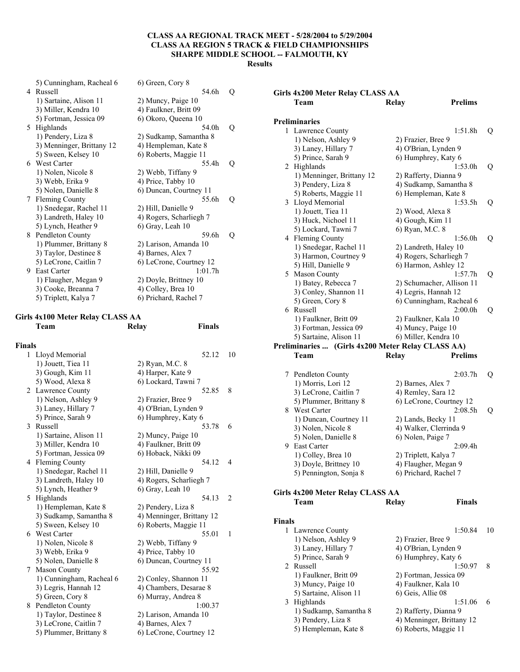|    | 5) Cunningham, Racheal 6  | 6) Green, Cory 8        |   |
|----|---------------------------|-------------------------|---|
| 4  | Russell                   | 54.6h                   | Q |
|    | 1) Sartaine, Alison 11    | 2) Muncy, Paige 10      |   |
|    | 3) Miller, Kendra 10      | 4) Faulkner, Britt 09   |   |
|    | 5) Fortman, Jessica 09    | 6) Okoro, Queena 10     |   |
| 5. | Highlands                 | 54.0h                   | Q |
|    | 1) Pendery, Liza 8        | 2) Sudkamp, Samantha 8  |   |
|    | 3) Menninger, Brittany 12 | 4) Hempleman, Kate 8    |   |
|    | 5) Sween, Kelsey 10       | 6) Roberts, Maggie 11   |   |
|    | 6 West Carter             | 55.4h                   | Q |
|    | 1) Nolen, Nicole 8        | 2) Webb, Tiffany 9      |   |
|    | 3) Webb, Erika 9          | 4) Price, Tabby 10      |   |
|    | 5) Nolen, Danielle 8      | 6) Duncan, Courtney 11  |   |
| 7  | <b>Fleming County</b>     | 55.6h                   | Q |
|    | 1) Snedegar, Rachel 11    | 2) Hill, Danielle 9     |   |
|    | 3) Landreth, Haley 10     | 4) Rogers, Scharliegh 7 |   |
|    | 5) Lynch, Heather 9       | 6) Gray, Leah 10        |   |
| 8  | Pendleton County          | 59.6h                   | Q |
|    | 1) Plummer, Brittany 8    | 2) Larison, Amanda 10   |   |
|    | 3) Taylor, Destinee 8     | 4) Barnes, Alex 7       |   |
|    | 5) LeCrone, Caitlin 7     | 6) LeCrone, Courtney 12 |   |
| 9  | <b>East Carter</b>        | 1:01.7h                 |   |
|    | 1) Flaugher, Megan 9      | 2) Doyle, Brittney 10   |   |
|    | 3) Cooke, Breanna 7       | 4) Colley, Brea 10      |   |
|    | 5) Triplett, Kalya 7      | 6) Prichard, Rachel 7   |   |

# **Girls 4x100 Meter Relay CLASS AA**

|               | Team                     | <b>Finals</b><br>Relay    |                |
|---------------|--------------------------|---------------------------|----------------|
| <b>Finals</b> |                          |                           |                |
|               | 1 Lloyd Memorial         | 52.12                     | 10             |
|               | 1) Jouett, Tiea 11       | 2) Ryan, M.C. 8           |                |
|               | 3) Gough, Kim 11         | 4) Harper, Kate 9         |                |
|               | 5) Wood, Alexa 8         | 6) Lockard, Tawni 7       |                |
|               | 2 Lawrence County        | 52.85                     | 8              |
|               | 1) Nelson, Ashley 9      | 2) Frazier, Bree 9        |                |
|               | 3) Laney, Hillary 7      | 4) O'Brian, Lynden 9      |                |
|               | 5) Prince, Sarah 9       | 6) Humphrey, Katy 6       |                |
|               | 3 Russell                | 53.78                     | 6              |
|               | 1) Sartaine, Alison 11   | 2) Muncy, Paige 10        |                |
|               | 3) Miller, Kendra 10     | 4) Faulkner, Britt 09     |                |
|               | 5) Fortman, Jessica 09   | 6) Hoback, Nikki 09       |                |
|               | 4 Fleming County         | 54.12                     | 4              |
|               | 1) Snedegar, Rachel 11   | 2) Hill, Danielle 9       |                |
|               | 3) Landreth, Haley 10    | 4) Rogers, Scharliegh 7   |                |
|               | 5) Lynch, Heather 9      | 6) Gray, Leah 10          |                |
|               | 5 Highlands              | 54.13                     | $\overline{2}$ |
|               | 1) Hempleman, Kate 8     | 2) Pendery, Liza 8        |                |
|               | 3) Sudkamp, Samantha 8   | 4) Menninger, Brittany 12 |                |
|               | 5) Sween, Kelsey 10      | 6) Roberts, Maggie 11     |                |
|               | 6 West Carter            | 55.01                     | 1              |
|               | 1) Nolen, Nicole 8       | 2) Webb, Tiffany 9        |                |
|               | 3) Webb, Erika 9         | 4) Price, Tabby 10        |                |
|               | 5) Nolen, Danielle 8     | 6) Duncan, Courtney 11    |                |
| 7             | <b>Mason County</b>      | 55.92                     |                |
|               | 1) Cunningham, Racheal 6 | 2) Conley, Shannon 11     |                |
|               | 3) Legris, Hannah 12     | 4) Chambers, Desarae 8    |                |
|               | 5) Green, Cory 8         | 6) Murray, Andrea 8       |                |
|               | 8 Pendleton County       | 1:00.37                   |                |
|               | 1) Taylor, Destinee 8    | 2) Larison, Amanda 10     |                |
|               | 3) LeCrone, Caitlin 7    | 4) Barnes, Alex 7         |                |
|               | 5) Plummer, Brittany 8   | 6) LeCrone, Courtney 12   |                |

|               | Girls 4x200 Meter Relay CLASS AA                  |                                |    |
|---------------|---------------------------------------------------|--------------------------------|----|
|               | Team                                              | <b>Prelims</b><br><b>Relay</b> |    |
|               |                                                   |                                |    |
|               | <b>Preliminaries</b>                              |                                |    |
|               | 1 Lawrence County                                 | 1:51.8h                        | Q  |
|               | 1) Nelson, Ashley 9                               | 2) Frazier, Bree 9             |    |
|               | 3) Laney, Hillary 7                               | 4) O'Brian, Lynden 9           |    |
|               | 5) Prince, Sarah 9                                | 6) Humphrey, Katy 6            |    |
|               | 2 Highlands                                       | 1:53.0h                        | Q  |
|               | 1) Menninger, Brittany 12                         | 2) Rafferty, Dianna 9          |    |
|               | 3) Pendery, Liza 8                                | 4) Sudkamp, Samantha 8         |    |
|               | 5) Roberts, Maggie 11                             | 6) Hempleman, Kate 8           |    |
|               | 3 Lloyd Memorial                                  | 1:53.5h                        | Q  |
|               | 1) Jouett, Tiea 11                                | 2) Wood, Alexa 8               |    |
|               | 3) Huck, Nichoel 11                               | 4) Gough, Kim 11               |    |
|               | 5) Lockard, Tawni 7                               | 6) Ryan, M.C. 8                |    |
|               | 4 Fleming County                                  | 1:56.0h                        | Q  |
|               | 1) Snedegar, Rachel 11                            | 2) Landreth, Haley 10          |    |
|               | 3) Harmon, Courtney 9                             | 4) Rogers, Scharliegh 7        |    |
|               | 5) Hill, Danielle 9                               | 6) Harmon, Ashley 12           |    |
|               | 5 Mason County                                    | 1:57.7h                        | Q  |
|               | 1) Batey, Rebecca 7                               | 2) Schumacher, Allison 11      |    |
|               | 3) Conley, Shannon 11                             | 4) Legris, Hannah 12           |    |
|               | 5) Green, Cory 8                                  | 6) Cunningham, Racheal 6       |    |
|               | 6 Russell                                         | 2:00.0h                        | Q  |
|               | 1) Faulkner, Britt 09                             | 2) Faulkner, Kala 10           |    |
|               | 3) Fortman, Jessica 09                            | 4) Muncy, Paige 10             |    |
|               | 5) Sartaine, Alison 11                            | 6) Miller, Kendra 10           |    |
|               | Preliminaries  (Girls 4x200 Meter Relay CLASS AA) |                                |    |
|               | Team                                              | <b>Prelims</b><br><b>Relay</b> |    |
|               |                                                   |                                |    |
|               | 7 Pendleton County                                | 2:03.7h                        | Q  |
|               | 1) Morris, Lori 12                                | 2) Barnes, Alex 7              |    |
|               | 3) LeCrone, Caitlin 7                             | 4) Remley, Sara 12             |    |
|               | 5) Plummer, Brittany 8                            | 6) LeCrone, Courtney 12        |    |
|               | 8 West Carter                                     | 2:08.5h                        | Q  |
|               | 1) Duncan, Courtney 11                            | 2) Lands, Becky 11             |    |
|               | 3) Nolen, Nicole 8                                | 4) Walker, Clerrinda 9         |    |
|               | 5) Nolen, Danielle 8                              | 6) Nolen, Paige 7              |    |
|               | 9 East Carter                                     | 2:09.4h                        |    |
|               | 1) Colley, Brea 10                                | 2) Triplett, Kalya 7           |    |
|               | 3) Doyle, Brittney 10                             | 4) Flaugher, Megan 9           |    |
|               | 5) Pennington, Sonja 8                            | 6) Prichard, Rachel 7          |    |
|               |                                                   |                                |    |
|               | Girls 4x200 Meter Relay CLASS AA                  |                                |    |
|               | Team                                              | <b>Finals</b><br>Relay         |    |
|               |                                                   |                                |    |
| <b>Finals</b> |                                                   |                                |    |
|               | 1 Lawrence County                                 | 1:50.84                        | 10 |
|               | 1) Nelson, Ashley 9                               | 2) Frazier, Bree 9             |    |
|               | 3) Laney, Hillary 7                               | 4) O'Brian, Lynden 9           |    |
|               | 5) Prince, Sarah 9                                | 6) Humphrey, Katy 6            |    |
|               | 2 Russell                                         | 1:50.97                        | 8  |
|               | 1) Faulkner, Britt 09                             | 2) Fortman, Jessica 09         |    |
|               | 3) Muncy, Paige 10                                | 4) Faulkner, Kala 10           |    |
|               | 5) Sartaine, Alison 11                            | 6) Geis, Allie 08              |    |
| 3             | Highlands                                         | 1:51.06                        | 6  |
|               | 1) Sudkamp, Samantha 8                            | 2) Rafferty, Dianna 9          |    |
|               | 3) Pendery, Liza 8                                | 4) Menninger, Brittany 12      |    |
|               | 5) Hempleman, Kate 8                              | 6) Roberts, Maggie 11          |    |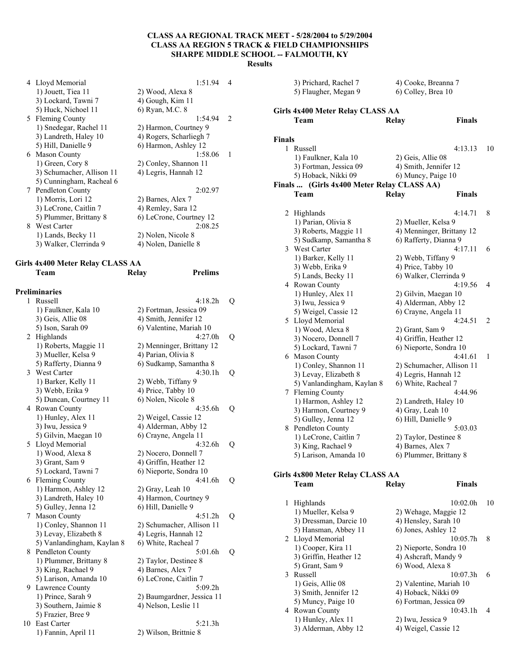|   | 4 Lloyd Memorial          | 1:51.94                 | 4              |
|---|---------------------------|-------------------------|----------------|
|   | 1) Jouett, Tiea 11        | 2) Wood, Alexa 8        |                |
|   | 3) Lockard, Tawni 7       | 4) Gough, Kim 11        |                |
|   | 5) Huck, Nichoel 11       | 6) Ryan, M.C. 8         |                |
|   | 5 Fleming County          | 1:54.94                 | $\mathcal{L}$  |
|   | 1) Snedegar, Rachel 11    | 2) Harmon, Courtney 9   |                |
|   | 3) Landreth, Haley 10     | 4) Rogers, Scharliegh 7 |                |
|   | 5) Hill, Danielle 9       | 6) Harmon, Ashley 12    |                |
|   | 6 Mason County            | 1:58.06                 | $\overline{1}$ |
|   | 1) Green, Cory 8          | 2) Conley, Shannon 11   |                |
|   | 3) Schumacher, Allison 11 | 4) Legris, Hannah 12    |                |
|   | 5) Cunningham, Racheal 6  |                         |                |
|   | 7 Pendleton County        | 2:02.97                 |                |
|   | 1) Morris, Lori 12        | 2) Barnes, Alex 7       |                |
|   | 3) LeCrone, Caitlin 7     | 4) Remley, Sara 12      |                |
|   | 5) Plummer, Brittany 8    | 6) LeCrone, Courtney 12 |                |
| 8 | West Carter               | 2:08.25                 |                |
|   | 1) Lands, Becky 11        | 2) Nolen, Nicole 8      |                |
|   | 3) Walker, Clerrinda 9    | 4) Nolen, Danielle 8    |                |
|   |                           |                         |                |

### **Girls 4x400 Meter Relay CLASS AA Team Relay Prelims**

|    | Preliminaries                     |                            |   |
|----|-----------------------------------|----------------------------|---|
| 1  | Russell                           | 4:18.2h                    | Q |
|    | 1) Faulkner, Kala 10              | 2) Fortman, Jessica 09     |   |
|    | 3) Geis, Allie 08                 | 4) Smith, Jennifer 12      |   |
|    | 5) Ison, Sarah 09                 | 6) Valentine, Mariah 10    |   |
| 2  | Highlands                         | 4:27.0h                    | Q |
|    | 1) Roberts, Maggie 11             | 2) Menninger, Brittany 12  |   |
|    | 3) Mueller, Kelsa 9               | 4) Parian, Olivia 8        |   |
|    | 5) Rafferty, Dianna 9             | 6) Sudkamp, Samantha 8     |   |
| 3  | West Carter                       | 4:30.1h                    | Q |
|    | 1) Barker, Kelly 11               | 2) Webb, Tiffany 9         |   |
|    | 3) Webb, Erika 9                  | 4) Price, Tabby 10         |   |
|    | 5) Duncan, Courtney 11            | 6) Nolen, Nicole 8         |   |
| 4  | Rowan County                      | 4:35.6h                    | Q |
|    | 1) Hunley, Alex 11                | 2) Weigel, Cassie 12       |   |
|    | 3) Iwu, Jessica 9                 | 4) Alderman, Abby 12       |   |
|    | 5) Gilvin, Maegan 10              | 6) Crayne, Angela 11       |   |
| 5  | Lloyd Memorial                    | 4:32.6h                    | Q |
|    | 1) Wood, Alexa 8                  | 2) Nocero, Donnell 7       |   |
|    | 3) Grant, Sam 9                   | 4) Griffin, Heather 12     |   |
|    | 5) Lockard, Tawni 7               | 6) Nieporte, Sondra 10     |   |
| 6  | <b>Fleming County</b>             | 4:41.6h                    | Q |
|    | 1) Harmon, Ashley 12              | 2) Gray, Leah 10           |   |
|    | 3) Landreth, Haley 10             | 4) Harmon, Courtney 9      |   |
|    | 5) Gulley, Jenna 12               | 6) Hill, Danielle 9        |   |
| 7  | <b>Mason County</b>               | 4:51.2h                    | Q |
|    | 1) Conley, Shannon 11             | 2) Schumacher, Allison 11  |   |
|    | 3) Levay, Elizabeth 8             | 4) Legris, Hannah 12       |   |
|    | 5) Vanlandingham, Kaylan 8        | 6) White, Racheal 7        |   |
| 8  | Pendleton County                  | 5:01.6h                    | Q |
|    | 1) Plummer, Brittany 8            | 2) Taylor, Destinee 8      |   |
|    | 3) King, Rachael 9                | 4) Barnes, Alex 7          |   |
|    | 5) Larison, Amanda 10             | 6) LeCrone, Caitlin 7      |   |
| 9  | Lawrence County                   | 5:09.2h                    |   |
|    | 1) Prince, Sarah 9                | 2) Baumgardner, Jessica 11 |   |
|    | 3) Southern, Jaimie 8             | 4) Nelson, Leslie 11       |   |
| 10 | 5) Frazier, Bree 9<br>East Carter | 5:21.3h                    |   |
|    | 1) Fannin, April 11               | 2) Wilson, Brittnie 8      |   |
|    |                                   |                            |   |

|                        | 3) Prichard, Rachel 7<br>4) Cooke, Breanna 7<br>5) Flaugher, Megan 9<br>6) Colley, Brea 10 |                                              |                           |    |
|------------------------|--------------------------------------------------------------------------------------------|----------------------------------------------|---------------------------|----|
|                        | <b>Girls 4x400 Meter Relay CLASS AA</b>                                                    |                                              |                           |    |
|                        | Team                                                                                       | Relay                                        | <b>Finals</b>             |    |
|                        |                                                                                            |                                              |                           |    |
| Finals<br>$\mathbf{1}$ | Russell                                                                                    |                                              | 4:13.13                   | 10 |
|                        | 1) Faulkner, Kala 10                                                                       | 2) Geis, Allie 08                            |                           |    |
|                        | 3) Fortman, Jessica 09                                                                     | 4) Smith, Jennifer 12                        |                           |    |
|                        | 5) Hoback, Nikki 09                                                                        | 6) Muncy, Paige 10                           |                           |    |
| <b>Finals</b>          | (Girls 4x400 Meter Relay CLASS AA)                                                         |                                              |                           |    |
|                        | Team                                                                                       | Relay                                        | <b>Finals</b>             |    |
|                        |                                                                                            |                                              | 4:14.71                   | 8  |
|                        | 2 Highlands<br>1) Parian, Olivia 8                                                         | 2) Mueller, Kelsa 9                          |                           |    |
|                        | 3) Roberts, Maggie 11                                                                      |                                              | 4) Menninger, Brittany 12 |    |
|                        | 5) Sudkamp, Samantha 8                                                                     | 6) Rafferty, Dianna 9                        |                           |    |
|                        | 3 West Carter                                                                              |                                              | 4:17.11                   | 6  |
|                        | 1) Barker, Kelly 11                                                                        | 2) Webb, Tiffany 9                           |                           |    |
|                        | 3) Webb, Erika 9                                                                           | 4) Price, Tabby 10                           |                           |    |
|                        | 5) Lands, Becky 11                                                                         | 6) Walker, Clerrinda 9                       |                           |    |
|                        | 4 Rowan County                                                                             |                                              | 4:19.56                   | 4  |
|                        | 1) Hunley, Alex 11                                                                         | 2) Gilvin, Maegan 10                         |                           |    |
|                        | 3) Iwu, Jessica 9                                                                          | 4) Alderman, Abby 12                         |                           |    |
|                        | 5) Weigel, Cassie 12                                                                       | 6) Crayne, Angela 11                         | 4:24.51                   |    |
|                        | 5 Lloyd Memorial<br>1) Wood, Alexa 8                                                       |                                              |                           | 2  |
|                        | 3) Nocero, Donnell 7                                                                       | 2) Grant, Sam 9<br>4) Griffin, Heather 12    |                           |    |
|                        | 5) Lockard, Tawni 7                                                                        | 6) Nieporte, Sondra 10                       |                           |    |
|                        | 6 Mason County                                                                             |                                              | 4:41.61                   | 1  |
|                        | 1) Conley, Shannon 11                                                                      |                                              | 2) Schumacher, Allison 11 |    |
|                        | 3) Levay, Elizabeth 8                                                                      | 4) Legris, Hannah 12                         |                           |    |
|                        | 5) Vanlandingham, Kaylan 8                                                                 | 6) White, Racheal 7                          |                           |    |
|                        | 7 Fleming County                                                                           |                                              | 4:44.96                   |    |
|                        | 1) Harmon, Ashley 12                                                                       | 2) Landreth, Haley 10                        |                           |    |
|                        | 3) Harmon, Courtney 9                                                                      | 4) Gray, Leah 10                             |                           |    |
|                        | 5) Gulley, Jenna 12                                                                        | 6) Hill, Danielle 9                          |                           |    |
|                        | 8 Pendleton County                                                                         |                                              | 5:03.03                   |    |
|                        | 1) LeCrone, Caitlin 7<br>3) King, Rachael 9                                                | 2) Taylor, Destinee 8<br>4) Barnes, Alex 7   |                           |    |
|                        | 5) Larison, Amanda 10                                                                      | 6) Plummer, Brittany 8                       |                           |    |
|                        |                                                                                            |                                              |                           |    |
|                        | Girls 4x800 Meter Relay CLASS AA                                                           |                                              |                           |    |
|                        | Team                                                                                       | Relay                                        | <b>Finals</b>             |    |
|                        |                                                                                            |                                              |                           |    |
|                        | 1 Highlands                                                                                |                                              | 10:02.0h                  | 10 |
|                        | 1) Mueller, Kelsa 9<br>3) Dressman, Darcie 10                                              | 2) Wehage, Maggie 12<br>4) Hensley, Sarah 10 |                           |    |
|                        | 5) Hansman, Abbey 11                                                                       | 6) Jones, Ashley 12                          |                           |    |
|                        | 2 Lloyd Memorial                                                                           |                                              | 10:05.7h                  | 8  |
|                        | 1) Cooper, Kira 11                                                                         | 2) Nieporte, Sondra 10                       |                           |    |
|                        | 3) Griffin, Heather 12                                                                     | 4) Ashcraft, Mandy 9                         |                           |    |
|                        | 5) Grant, Sam 9                                                                            | 6) Wood, Alexa 8                             |                           |    |
|                        | 3 Russell                                                                                  |                                              | 10:07.3h                  | 6  |
|                        | 1) Geis, Allie 08                                                                          | 2) Valentine, Mariah 10                      |                           |    |
|                        | 3) Smith, Jennifer 12                                                                      | 4) Hoback, Nikki 09                          |                           |    |
|                        | 5) Muncy, Paige 10                                                                         | 6) Fortman, Jessica 09                       |                           |    |
|                        | 4 Rowan County                                                                             |                                              | 10:43.1h                  | 4  |

1) Hunley, Alex 11 2) Iwu, Jessica 9<br>3) Alderman, Abby 12 4) Weigel, Cassie 12

 $3)$  Alderman, Abby 12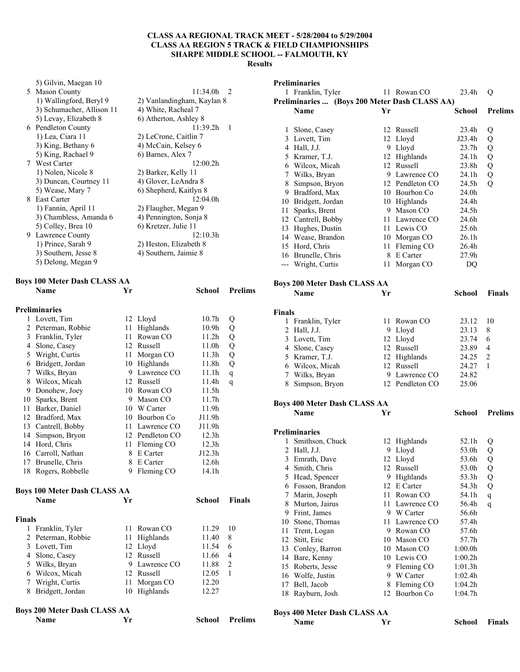|        | 5) Gilvin, Maegan 10<br>5 Mason County               |    |                                                   | 11:34.0h          | 2              |        | <b>Preliminaries</b><br>1 Franklin, Tyler                    |    | 11 Rowan CO                 | 23.4h              | Q              |
|--------|------------------------------------------------------|----|---------------------------------------------------|-------------------|----------------|--------|--------------------------------------------------------------|----|-----------------------------|--------------------|----------------|
|        | 1) Wallingford, Beryl 9<br>3) Schumacher, Allison 11 |    | 2) Vanlandingham, Kaylan 8<br>4) White, Racheal 7 |                   |                |        | Preliminaries  (Boys 200 Meter Dash CLASS AA)<br><b>Name</b> | Yr |                             | School             | <b>Prelims</b> |
|        | 5) Levay, Elizabeth 8                                |    | 6) Atherton, Ashley 8                             |                   |                |        |                                                              |    |                             |                    |                |
|        | 6 Pendleton County                                   |    |                                                   | 11:39.2h          | - 1            |        | 1 Slone, Casey                                               |    | 12 Russell                  | 23.4h              | Q              |
|        | 1) Lea, Ciara 11                                     |    | 2) LeCrone, Caitlin 7                             |                   |                |        | 3 Lovett, Tim                                                |    | 12 Lloyd                    | J23.4h             | Q              |
|        | 3) King, Bethany 6                                   |    | 4) McCain, Kelsey 6                               |                   |                |        | 4 Hall, J.J.                                                 |    | 9 Lloyd                     | 23.7h              | Q              |
|        | 5) King, Rachael 9                                   |    | 6) Barnes, Alex 7                                 |                   |                |        | 5 Kramer, T.J.                                               |    | 12 Highlands                | 24.1h              | Q              |
|        | 7 West Carter                                        |    |                                                   | 12:00.2h          |                |        | 6 Wilcox, Micah                                              |    | 12 Russell                  | 23.8h              | Q              |
|        | 1) Nolen, Nicole 8                                   |    | 2) Barker, Kelly 11                               |                   |                |        | 7 Wilks, Bryan                                               |    | 9 Lawrence CO               | 24.1h              | Q              |
|        | 3) Duncan, Courtney 11                               |    | 4) Glover, LeAndra 8                              |                   |                |        | 8 Simpson, Bryon                                             |    | 12 Pendleton CO             | 24.5h              | Q              |
|        | 5) Wease, Mary 7                                     |    | 6) Shepherd, Kaitlyn 8                            |                   |                | 9      | Bradford, Max                                                |    | 10 Bourbon Co               | 24.0h              |                |
|        | 8 East Carter                                        |    |                                                   | 12:04.0h          |                |        | 10 Bridgett, Jordan                                          |    | 10 Highlands                | 24.4h              |                |
|        | 1) Fannin, April 11                                  |    | 2) Flaugher, Megan 9                              |                   |                |        | 11 Sparks, Brent                                             |    | 9 Mason CO                  | 24.5h              |                |
|        | 3) Chambless, Amanda 6                               |    | 4) Pennington, Sonja 8                            |                   |                |        | 12 Cantrell, Bobby                                           |    | 11 Lawrence CO              | 24.6h              |                |
|        | 5) Colley, Brea 10<br>9 Lawrence County              |    | 6) Kretzer, Julie 11                              | 12:10.3h          |                |        | 13 Hughes, Dustin                                            |    | 11 Lewis CO                 | 25.6h              |                |
|        | 1) Prince, Sarah 9                                   |    | 2) Heston, Elizabeth 8                            |                   |                |        | 14 Wease, Brandon                                            |    | 10 Morgan CO                | 26.1h              |                |
|        | 3) Southern, Jesse 8                                 |    | 4) Southern, Jaimie 8                             |                   |                |        | 15 Hord, Chris                                               |    | 11 Fleming CO               | 26.4h              |                |
|        | 5) Delong, Megan 9                                   |    |                                                   |                   |                |        | 16 Brunelle, Chris                                           | 8  | E Carter                    | 27.9h              |                |
|        |                                                      |    |                                                   |                   |                |        | --- Wright, Curtis                                           |    | 11 Morgan CO                | DQ                 |                |
|        | <b>Boys 100 Meter Dash CLASS AA</b>                  |    |                                                   |                   |                |        | <b>Boys 200 Meter Dash CLASS AA</b>                          |    |                             |                    |                |
|        | Name                                                 | Yr |                                                   | <b>School</b>     | <b>Prelims</b> |        | Name                                                         | Yr |                             | <b>School</b>      | <b>Finals</b>  |
|        | Preliminaries                                        |    |                                                   |                   |                | Finals |                                                              |    |                             |                    |                |
|        | 1 Lovett, Tim                                        |    | 12 Lloyd                                          | 10.7 <sub>h</sub> | Q              |        | 1 Franklin, Tyler                                            |    | 11 Rowan CO                 | 23.12              | 10             |
|        | 2 Peterman, Robbie                                   |    | 11 Highlands                                      | 10.9 <sub>h</sub> | Q              |        | 2 Hall, J.J.                                                 |    | 9 Lloyd                     | 23.13              | 8              |
|        | Franklin, Tyler                                      |    | 11 Rowan CO                                       | 11.2 <sub>h</sub> | Q              |        | 3 Lovett, Tim                                                |    | 12 Lloyd                    | 23.74              | 6              |
| 4      | Slone, Casey                                         |    | 12 Russell                                        | 11.0h             | Q              |        | 4 Slone, Casey                                               |    | 12 Russell                  | 23.89              | 4              |
| 5      | Wright, Curtis                                       |    | 11 Morgan CO                                      | 11.3h             | Q              |        | 5 Kramer, T.J.                                               |    | 12 Highlands                | 24.25              | 2              |
|        | 6 Bridgett, Jordan                                   |    | 10 Highlands                                      | 11.8h             | Q              |        | 6 Wilcox, Micah                                              |    | 12 Russell                  | 24.27              | $\mathbf{1}$   |
|        | 7 Wilks, Bryan                                       | 9  | Lawrence CO                                       | 11.1h             | q              |        | 7 Wilks, Bryan                                               | 9  | Lawrence CO                 | 24.82              |                |
| 8      | Wilcox, Micah                                        |    | 12 Russell                                        | 11.4h             | q              |        | 8 Simpson, Bryon                                             |    | 12 Pendleton CO             | 25.06              |                |
| 9      | Donohew, Joey                                        |    | 10 Rowan CO                                       | 11.5h             |                |        |                                                              |    |                             |                    |                |
| 10     | Sparks, Brent                                        |    | 9 Mason CO                                        | 11.7 <sub>h</sub> |                |        | <b>Boys 400 Meter Dash CLASS AA</b>                          |    |                             |                    |                |
|        | 11 Barker, Daniel                                    |    | 10 W Carter                                       | 11.9 <sub>h</sub> |                |        | Name                                                         | Yr |                             | <b>School</b>      | <b>Prelims</b> |
| 12     | Bradford, Max                                        |    | 10 Bourbon Co                                     | J11.9h            |                |        |                                                              |    |                             |                    |                |
| 13     | Cantrell, Bobby                                      |    | 11 Lawrence CO                                    | J11.9h            |                |        | Preliminaries                                                |    |                             |                    |                |
| 14     | Simpson, Bryon                                       |    | 12 Pendleton CO                                   | 12.3h             |                |        | 1 Smithson, Chuck                                            |    | 12 Highlands                | 52.1h              | Q              |
|        | 14 Hord, Chris                                       |    | 11 Fleming CO                                     | 12.3h             |                |        | 2 Hall, J.J.                                                 |    | 9 Lloyd                     | 53.0h              | Q              |
|        | 16 Carroll, Nathan                                   |    | 8 E Carter                                        | J12.3h            |                |        | 3 Emrath, Dave                                               |    | 12 Lloyd                    | 53.6h              | Q              |
|        | 17 Brunelle, Chris                                   |    | 8 E Carter                                        | 12.6h             |                |        | 4 Smith, Chris                                               |    | 12 Russell                  | 53.0h              | Q              |
|        | 18 Rogers, Robbelle                                  |    | 9 Fleming CO                                      | 14.1h             |                |        | 5 Head, Spencer                                              |    | 9 Highlands                 | 53.3h              | Q              |
|        |                                                      |    |                                                   |                   |                |        | 6 Fosson, Brandon                                            |    | 12 E Carter                 | 54.3h              | Q              |
|        | <b>Boys 100 Meter Dash CLASS AA</b>                  |    |                                                   |                   |                |        | 7 Marin, Joseph                                              | 11 | Rowan CO                    | 54.1h              | q              |
|        | Name                                                 | Yr |                                                   | School            | <b>Finals</b>  |        | 8 Murton, Jairus                                             | 11 | Lawrence CO                 | 56.4h              | q              |
|        |                                                      |    |                                                   |                   |                |        | 9 Frint, James                                               | 9. | W Carter                    | 56.6h              |                |
| Finals |                                                      |    |                                                   |                   |                |        | 10 Stone, Thomas                                             |    | 11 Lawrence CO              | 57.4h              |                |
|        | 1 Franklin, Tyler                                    |    | 11 Rowan CO                                       | 11.29             | -10            |        | 11 Trent, Logan                                              | 9. | Rowan CO                    | 57.6h              |                |
|        | 2 Peterman, Robbie                                   |    | 11 Highlands                                      | 11.40             | 8              |        | 12 Stitt, Eric                                               |    | 10 Mason CO                 | 57.7h              |                |
|        | 3 Lovett, Tim                                        |    | 12 Lloyd                                          | 11.54             | 6              |        | 13 Conley, Barron                                            | 10 | Mason CO                    | 1:00.0h            |                |
|        | 4 Slone, Casey                                       |    | 12 Russell<br>Lawrence CO                         | 11.66             | 4              |        | 14 Bare, Kenny                                               |    | 10 Lewis CO                 | 1:00.2h            |                |
|        | 5 Wilks, Bryan                                       | 9  |                                                   | 11.88             | 2              |        | 15 Roberts, Jesse                                            |    | 9 Fleming CO                | 1:01.3h            |                |
|        | 6 Wilcox, Micah                                      |    | 12 Russell                                        | 12.05             | -1             |        | 16 Wolfe, Justin                                             |    | 9 W Carter                  | 1:02.4h            |                |
|        | 7 Wright, Curtis<br>8 Bridgett, Jordan               |    | 11 Morgan CO<br>10 Highlands                      | 12.20<br>12.27    |                |        | 17 Bell, Jacob<br>18 Rayburn, Josh                           | 8  | Fleming CO<br>12 Bourbon Co | 1:04.2h<br>1:04.7h |                |
|        | <b>Boys 200 Meter Dash CLASS AA</b>                  |    |                                                   |                   |                |        | <b>Boys 400 Meter Dash CLASS AA</b>                          |    |                             |                    |                |
|        | Name                                                 | Yr |                                                   | School            | <b>Prelims</b> |        | Name                                                         | Yr |                             | School             | Finals         |
|        |                                                      |    |                                                   |                   |                |        |                                                              |    |                             |                    |                |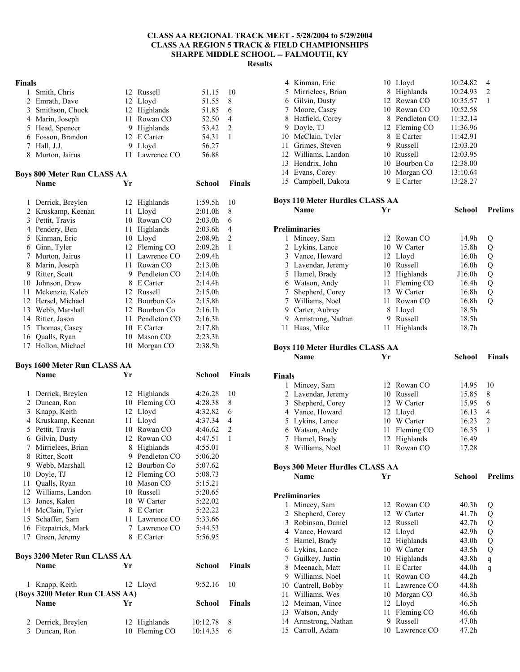#### **Finals**

| 1 Smith, Chris    | 12 Russell     | 51.15 | $\frac{10}{2}$ |
|-------------------|----------------|-------|----------------|
| 2 Emrath, Dave    | 12 Lloyd       | 51.55 | 8              |
| 3 Smithson, Chuck | 12 Highlands   | 51.85 | 6              |
| 4 Marin, Joseph   | 11 Rowan CO    | 52.50 | $\overline{4}$ |
| 5 Head, Spencer   | 9 Highlands    | 53.42 | $\mathcal{L}$  |
| 6 Fosson, Brandon | 12 E Carter    | 54.31 |                |
| 7 Hall, J.J.      | 9 Lloyd        | 56.27 |                |
| 8 Murton, Jairus  | 11 Lawrence CO | 56.88 |                |

**Name Yr School Finals** 

#### **Boys 800 Meter Run CLASS AA**

| 1  | Derrick, Breylen |    | 12 Highlands  | 1:59.5h             | 10 |
|----|------------------|----|---------------|---------------------|----|
| 2  | Kruskamp, Keenan | 11 | Lloyd         | 2:01.0 <sub>h</sub> | 8  |
| 3  | Pettit, Travis   | 10 | Rowan CO      | 2:03.0h             | 6  |
| 4  | Pendery, Ben     | 11 | Highlands     | 2:03.6h             | 4  |
| 5  | Kinman, Eric     | 10 | Lloyd         | 2:08.9h             | 2  |
| 6  | Ginn, Tyler      |    | 12 Fleming CO | 2:09.2h             | 1  |
| 7  | Murton, Jairus   | 11 | Lawrence CO   | 2:09.4h             |    |
| 8  | Marin, Joseph    | 11 | Rowan CO      | 2:13.0h             |    |
| 9  | Ritter, Scott    | 9  | Pendleton CO  | 2:14.0h             |    |
| 10 | Johnson, Drew    | 8  | E Carter      | 2:14.4h             |    |
| 11 | Mckenzie, Kaleb  | 12 | Russell       | 2:15.0h             |    |
| 12 | Hersel, Michael  | 12 | Bourbon Co    | 2:15.8h             |    |
| 13 | Webb, Marshall   | 12 | Bourbon Co    | 2:16.1h             |    |
| 14 | Ritter, Jason    | 11 | Pendleton CO  | 2:16.3h             |    |
| 15 | Thomas, Casey    | 10 | E Carter      | 2:17.8h             |    |
| 16 | Qualls, Ryan     | 10 | Mason CO      | 2:23.3h             |    |
| 17 | Hollon, Michael  | 10 | Morgan CO     | 2:38.5h             |    |
|    |                  |    |               |                     |    |

#### **Boys 1600 Meter Run CLASS AA Name Yr School Finals**

| Mirrielees, Brian<br>8<br>Ritter, Scott<br>9<br>Webb, Marshall<br>Qualls, Ryan<br>10<br>Williams, Landon<br>10<br>Jones, Kalen<br>10<br>McClain, Tyler<br>8<br>Schaffer, Sam<br>11<br>Fitzpatrick, Mark<br>7<br>Green, Jeremy<br>8<br>Boys 3200 Meter Run CLASS AA | Pendleton CO<br>12 Bourbon Co<br>12 Fleming CO<br>Mason CO<br>Russell<br>W Carter<br>E Carter<br>Lawrence CO<br>Lawrence CO<br>E Carter | 5:06.20<br>5:07.62<br>5:08.73<br>5:15.21<br>5:20.65<br>5:22.02<br>5:22.22<br>5:33.66<br>5:44.53<br>5:56.95 |                |
|--------------------------------------------------------------------------------------------------------------------------------------------------------------------------------------------------------------------------------------------------------------------|-----------------------------------------------------------------------------------------------------------------------------------------|------------------------------------------------------------------------------------------------------------|----------------|
|                                                                                                                                                                                                                                                                    |                                                                                                                                         |                                                                                                            |                |
|                                                                                                                                                                                                                                                                    |                                                                                                                                         |                                                                                                            |                |
|                                                                                                                                                                                                                                                                    |                                                                                                                                         |                                                                                                            |                |
|                                                                                                                                                                                                                                                                    |                                                                                                                                         |                                                                                                            |                |
|                                                                                                                                                                                                                                                                    |                                                                                                                                         |                                                                                                            |                |
|                                                                                                                                                                                                                                                                    |                                                                                                                                         |                                                                                                            |                |
|                                                                                                                                                                                                                                                                    |                                                                                                                                         |                                                                                                            |                |
|                                                                                                                                                                                                                                                                    |                                                                                                                                         |                                                                                                            |                |
|                                                                                                                                                                                                                                                                    |                                                                                                                                         |                                                                                                            |                |
|                                                                                                                                                                                                                                                                    |                                                                                                                                         |                                                                                                            |                |
|                                                                                                                                                                                                                                                                    |                                                                                                                                         |                                                                                                            |                |
|                                                                                                                                                                                                                                                                    | Highlands                                                                                                                               | 4:55.01                                                                                                    |                |
| Gilvin, Dusty                                                                                                                                                                                                                                                      |                                                                                                                                         | 4:47.51                                                                                                    | $\mathbf{1}$   |
| Pettit, Travis                                                                                                                                                                                                                                                     | Rowan CO                                                                                                                                | 4:46.62                                                                                                    | $\overline{2}$ |
| Kruskamp, Keenan                                                                                                                                                                                                                                                   | Lloyd                                                                                                                                   | 4:37.34                                                                                                    | $\overline{4}$ |
| Knapp, Keith                                                                                                                                                                                                                                                       |                                                                                                                                         | 4:32.82                                                                                                    | 6              |
| Duncan, Ron                                                                                                                                                                                                                                                        |                                                                                                                                         | 4:28.38                                                                                                    | 8              |
| Derrick, Breylen                                                                                                                                                                                                                                                   |                                                                                                                                         | 4:26.28                                                                                                    | 10             |
|                                                                                                                                                                                                                                                                    |                                                                                                                                         | 12 Highlands<br>10 Fleming CO<br>12 Lloyd<br>11<br>10<br>12 Rowan CO                                       |                |

|                                | танг               |               | punvu         | .             |
|--------------------------------|--------------------|---------------|---------------|---------------|
|                                | 1 Knapp, Keith     | 12 Lloyd      | $9:52.16$ 10  |               |
| (Boys 3200 Meter Run CLASS AA) |                    |               |               |               |
|                                | <b>Name</b>        | Vr            | <b>School</b> | <b>Finals</b> |
|                                | 2 Derrick, Breylen | 12 Highlands  | 10:12.78      | -8            |
|                                | 3 Duncan, Ron      | 10 Fleming CO | 10:14.35      | 6             |

| 4 Kinman, Eric      |   | 10 Lloyd       | 10:24.82 | 4 |
|---------------------|---|----------------|----------|---|
| 5 Mirrielees, Brian |   | 8 Highlands    | 10:24.93 | 2 |
| 6 Gilvin, Dusty     |   | 12 Rowan CO    | 10:35.57 |   |
| 7 Moore, Casey      |   | 10 Rowan CO    | 10:52.58 |   |
| 8 Hatfield, Corey   |   | 8 Pendleton CO | 11:32.14 |   |
| 9 Doyle, TJ         |   | 12 Fleming CO  | 11:36.96 |   |
| 10 McClain, Tyler   | 8 | E Carter       | 11:42.91 |   |
| 11 Grimes, Steven   | 9 | Russell        | 12:03.20 |   |
| 12 Williams, Landon |   | 10 Russell     | 12:03.95 |   |
| 13 Hendrix, John    |   | 10 Bourbon Co  | 12:38.00 |   |
| 14 Evans, Corey     |   | 10 Morgan CO   | 13:10.64 |   |
| 15 Campbell, Dakota |   | E Carter       | 13:28.27 |   |

## **Boys 110 Meter Hurdles CLASS AA**

|    | <b>Name</b>          | Yr  |               | School            | <b>Prelims</b> |
|----|----------------------|-----|---------------|-------------------|----------------|
|    | <b>Preliminaries</b> |     |               |                   |                |
|    | Mincey, Sam          |     | 12 Rowan CO   | 14.9h             | Q              |
|    | 2 Lykins, Lance      |     | 10 W Carter   | 15.8h             | Q              |
| 3  | Vance, Howard        |     | 12 Lloyd      | 16.0 <sub>h</sub> | Q              |
|    | 3 Lavendar, Jeremy   |     | 10 Russell    | 16.0h             | Q              |
| 5. | Hamel, Brady         |     | 12 Highlands  | J16.0h            | Q              |
| 6  | Watson, Andy         |     | 11 Fleming CO | 16.4h             | Q              |
|    | Shepherd, Corey      | 12. | W Carter      | 16.8h             | Q              |
|    | Williams, Noel       |     | 11 Rowan CO   | 16.8h             | Q              |
| 9  | Carter, Aubrey       | 8   | Lloyd         | 18.5h             |                |
| 9  | Armstrong, Nathan    | 9   | Russell       | 18.5h             |                |
|    | Haas, Mike           |     | Highlands     | 18.7h             |                |

#### **Boys 110 Meter Hurdles CLASS AA**

| <b>Finals</b>      |  |               |       |    |  |
|--------------------|--|---------------|-------|----|--|
| Mincey, Sam        |  | 12 Rowan CO   | 14.95 | 10 |  |
| 2 Lavendar, Jeremy |  | 10 Russell    | 15.85 | 8  |  |
| 3 Shepherd, Corey  |  | 12 W Carter   | 15.95 | 6  |  |
| 4 Vance, Howard    |  | 12 Lloyd      | 16.13 | 4  |  |
| 5 Lykins, Lance    |  | 10 W Carter   | 16.23 | 2  |  |
| 6 Watson, Andy     |  | 11 Fleming CO | 16.35 |    |  |
| 7 Hamel, Brady     |  | 12 Highlands  | 16.49 |    |  |
| Williams, Noel     |  | Rowan CO      | 17 28 |    |  |

**Name Yr School Finals** 

### **Boys 300 Meter Hurdles CLASS AA**

|    | <b>Name</b>       | Yr |                | School            | <b>Prelims</b> |
|----|-------------------|----|----------------|-------------------|----------------|
|    | Preliminaries     |    |                |                   |                |
|    | Mincey, Sam       |    | 12 Rowan CO    | 40.3h             | Q              |
| 2  | Shepherd, Corey   | 12 | W Carter       | 41.7h             | Q              |
| 3  | Robinson, Daniel  | 12 | Russell        | 42.7h             | Q              |
| 4  | Vance, Howard     |    | 12 Lloyd       | 42.9 <sub>h</sub> | Q              |
| 5  | Hamel, Brady      |    | 12 Highlands   | 43.0 <sub>h</sub> | Q              |
| 6  | Lykins, Lance     |    | 10 W Carter    | 43.5 <sub>h</sub> | Q              |
| 7  | Guilkey, Justin   | 10 | Highlands      | 43.8h             | q              |
| 8  | Meenach, Matt     | 11 | E Carter       | 44.0h             | q              |
| 9  | Williams, Noel    | 11 | Rowan CO       | 44.2h             |                |
| 10 | Cantrell, Bobby   | 11 | Lawrence CO    | 44.8h             |                |
| 11 | Williams, Wes     | 10 | Morgan CO      | 46.3 <sub>h</sub> |                |
| 12 | Meiman, Vince     |    | 12 Lloyd       | 46.5 <sub>h</sub> |                |
| 13 | Watson, Andy      | 11 | Fleming CO     | 46.6h             |                |
| 14 | Armstrong, Nathan | 9  | Russell        | 47.0h             |                |
| 15 | Carroll, Adam     |    | 10 Lawrence CO | 47.2h             |                |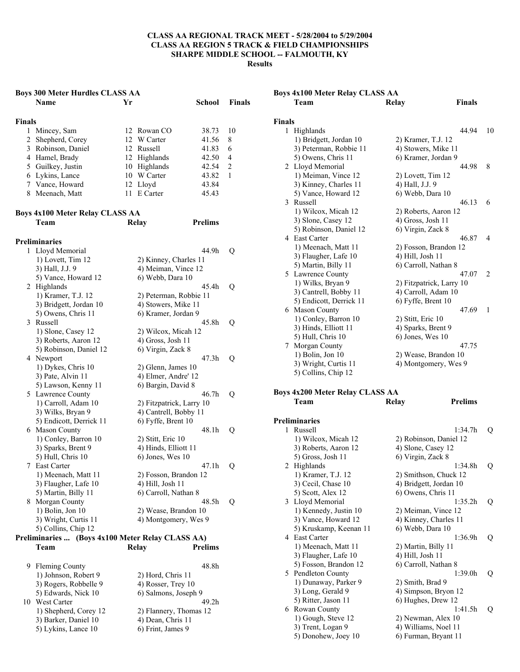|        | <b>Boys 300 Meter Hurdles CLASS AA</b>           |     |                          |                |                |
|--------|--------------------------------------------------|-----|--------------------------|----------------|----------------|
|        | Name                                             | Yr  |                          | School         | <b>Finals</b>  |
|        |                                                  |     |                          |                |                |
| Finals |                                                  |     |                          |                |                |
| 1      | Mincey, Sam                                      |     | 12 Rowan CO              | 38.73          | 10             |
|        | 2 Shepherd, Corey                                |     | 12 W Carter              | 41.56          | 8              |
|        | 3 Robinson, Daniel                               |     | 12 Russell               | 41.83          | 6              |
|        | 4 Hamel, Brady                                   |     | 12 Highlands             | 42.50          | 4              |
|        | 5 Guilkey, Justin                                |     | 10 Highlands             | 42.54          | $\overline{2}$ |
|        | 6 Lykins, Lance                                  |     | 10 W Carter              | 43.82          | 1              |
|        | 7 Vance, Howard                                  |     | 12 Lloyd                 | 43.84          |                |
|        | 8 Meenach, Matt                                  | 11- | E Carter                 | 45.43          |                |
|        | <b>Boys 4x100 Meter Relay CLASS AA</b>           |     |                          |                |                |
|        | Team                                             |     | Relay                    | <b>Prelims</b> |                |
|        |                                                  |     |                          |                |                |
|        | <b>Preliminaries</b>                             |     |                          |                |                |
|        | 1 Lloyd Memorial                                 |     |                          | 44.9h          | Q              |
|        | 1) Lovett, Tim 12                                |     | 2) Kinney, Charles 11    |                |                |
|        | 3) Hall, J.J. 9                                  |     | 4) Meiman, Vince 12      |                |                |
|        | 5) Vance, Howard 12                              |     | 6) Webb, Dara 10         |                |                |
|        | 2 Highlands                                      |     |                          | 45.4h          | Q              |
|        | 1) Kramer, T.J. 12                               |     | 2) Peterman, Robbie 11   |                |                |
|        | 3) Bridgett, Jordan 10                           |     | 4) Stowers, Mike 11      |                |                |
|        | 5) Owens, Chris 11                               |     | 6) Kramer, Jordan 9      |                |                |
|        | 3 Russell                                        |     |                          | 45.8h          | Q              |
|        | 1) Slone, Casey 12                               |     | 2) Wilcox, Micah 12      |                |                |
|        | 3) Roberts, Aaron 12                             |     | 4) Gross, Josh 11        |                |                |
|        | 5) Robinson, Daniel 12                           |     | 6) Virgin, Zack 8        |                |                |
|        | 4 Newport                                        |     |                          | 47.3h          | Q              |
|        | 1) Dykes, Chris 10                               |     | 2) Glenn, James 10       |                |                |
|        | 3) Pate, Alvin 11                                |     | 4) Elmer, Andre' 12      |                |                |
|        | 5) Lawson, Kenny 11                              |     | 6) Bargin, David 8       |                |                |
|        | 5 Lawrence County                                |     |                          | 46.7h          | Q              |
|        | 1) Carroll, Adam 10                              |     | 2) Fitzpatrick, Larry 10 |                |                |
|        | 3) Wilks, Bryan 9                                |     | 4) Cantrell, Bobby 11    |                |                |
|        | 5) Endicott, Derrick 11                          |     | 6) Fyffe, Brent 10       |                |                |
|        | 6 Mason County                                   |     |                          | 48.1h          | Q              |
|        | 1) Conley, Barron 10                             |     | 2) Stitt, Eric 10        |                |                |
|        | 3) Sparks, Brent 9                               |     | 4) Hinds, Elliott 11     |                |                |
|        | 5) Hull, Chris 10                                |     | 6) Jones, Wes 10         |                |                |
|        | 7 East Carter                                    |     |                          | 47.1h          | Q              |
|        | 1) Meenach, Matt 11                              |     | 2) Fosson, Brandon 12    |                |                |
|        | 3) Flaugher, Lafe 10                             |     | 4) Hill, Josh 11         |                |                |
|        | 5) Martin, Billy 11                              |     | 6) Carroll, Nathan 8     |                |                |
|        | 8 Morgan County                                  |     |                          | 48.5h          | Q              |
|        | 1) Bolin, Jon 10                                 |     | 2) Wease, Brandon 10     |                |                |
|        | 3) Wright, Curtis 11                             |     | 4) Montgomery, Wes 9     |                |                |
|        | 5) Collins, Chip 12                              |     |                          |                |                |
|        | Preliminaries  (Boys 4x100 Meter Relay CLASS AA) |     |                          |                |                |
|        | Team                                             |     | <b>Relay</b>             | <b>Prelims</b> |                |
|        |                                                  |     |                          |                |                |

|    | 9 Fleming County      | 48.8h                  |
|----|-----------------------|------------------------|
|    | 1) Johnson, Robert 9  | 2) Hord, Chris 11      |
|    | 3) Rogers, Robbelle 9 | 4) Rosser, Trey 10     |
|    | 5) Edwards, Nick 10   | 6) Salmons, Joseph 9   |
| 10 | West Carter           | 49 2h                  |
|    | 1) Shepherd, Corey 12 | 2) Flannery, Thomas 12 |
|    | 3) Barker, Daniel 10  | 4) Dean, Chris 11      |
|    | 5) Lykins, Lance 10   | 6) Frint, James 9      |

|               | <b>Boys 4x100 Meter Relay CLASS AA</b> |                          |                |             |
|---------------|----------------------------------------|--------------------------|----------------|-------------|
|               | Team                                   | <b>Relay</b>             | <b>Finals</b>  |             |
| <b>Finals</b> |                                        |                          |                |             |
| 1             | Highlands                              |                          | 44.94          | 10          |
|               | 1) Bridgett, Jordan 10                 | 2) Kramer, T.J. 12       |                |             |
|               | 3) Peterman, Robbie 11                 | 4) Stowers, Mike 11      |                |             |
|               | 5) Owens, Chris 11                     | 6) Kramer, Jordan 9      |                |             |
|               | 2 Lloyd Memorial                       |                          | 44.98          | 8           |
|               | 1) Meiman, Vince 12                    | 2) Lovett, Tim 12        |                |             |
|               | 3) Kinney, Charles 11                  | 4) Hall, J.J. 9          |                |             |
|               | 5) Vance, Howard 12                    | 6) Webb, Dara 10         |                |             |
|               | 3 Russell                              |                          | 46.13          | 6           |
|               | 1) Wilcox, Micah 12                    | 2) Roberts, Aaron 12     |                |             |
|               | 3) Slone, Casey 12                     | 4) Gross, Josh 11        |                |             |
|               | 5) Robinson, Daniel 12                 | 6) Virgin, Zack 8        |                |             |
|               | 4 East Carter                          |                          | 46.87          | 4           |
|               | 1) Meenach, Matt 11                    | 2) Fosson, Brandon 12    |                |             |
|               | 3) Flaugher, Lafe 10                   | 4) Hill, Josh 11         |                |             |
|               | 5) Martin, Billy 11                    | 6) Carroll, Nathan 8     |                |             |
|               | 5 Lawrence County                      |                          | 47.07          | 2           |
|               | 1) Wilks, Bryan 9                      | 2) Fitzpatrick, Larry 10 |                |             |
|               | 3) Cantrell, Bobby 11                  | 4) Carroll, Adam 10      |                |             |
|               | 5) Endicott, Derrick 11                | 6) Fyffe, Brent 10       |                |             |
|               | 6 Mason County                         |                          | 47.69          | 1           |
|               | 1) Conley, Barron 10                   | 2) Stitt, Eric 10        |                |             |
|               | 3) Hinds, Elliott 11                   |                          |                |             |
|               |                                        | 4) Sparks, Brent 9       |                |             |
|               | 5) Hull, Chris 10                      | 6) Jones, Wes 10         |                |             |
|               | 7 Morgan County                        |                          | 47.75          |             |
|               | 1) Bolin, Jon 10                       | 2) Wease, Brandon 10     |                |             |
|               | 3) Wright, Curtis 11                   | 4) Montgomery, Wes 9     |                |             |
|               | 5) Collins, Chip 12                    |                          |                |             |
|               | <b>Boys 4x200 Meter Relay CLASS AA</b> |                          |                |             |
|               | Team                                   | Relay                    | <b>Prelims</b> |             |
|               | <b>Preliminaries</b>                   |                          |                |             |
| 1             | Russell                                |                          | 1:34.7h        | Q           |
|               | 1) Wilcox, Micah 12                    | 2) Robinson, Daniel 12   |                |             |
|               | 3) Roberts, Aaron 12                   | 4) Slone, Casey 12       |                |             |
|               | 5) Gross, Josh 11                      | 6) Virgin, Zack 8        |                |             |
|               | 2 Highlands                            |                          | 1:34.8h        | $\mathbf Q$ |
|               | 1) Kramer, T.J. 12                     | 2) Smithson, Chuck 12    |                |             |
|               | 3) Cecil, Chase 10                     | 4) Bridgett, Jordan 10   |                |             |
|               | 5) Scott, Alex 12                      | 6) Owens, Chris 11       |                |             |
| 3             | Lloyd Memorial                         |                          | 1:35.2h        | Q           |
|               | 1) Kennedy, Justin 10                  | 2) Meiman, Vince 12      |                |             |

 $3)$  Vance, Howard 12  $\qquad$  4) Kinney, Charles 11 5) Kruskamp, Keenan 11 6) Webb, Dara 10

1) Meenach, Matt 11 2) Martin, Billy 11 3) Flaugher, Lafe 10 4) Hill, Josh 11 5) Fosson, Brandon 12 6) Carroll, Nathan 8 5 Pendleton County 1:39.0h Q

1) Dunaway, Parker 9 2) Smith, Brad 9 3) Long, Gerald 9 4) Simpson, Bryon 12 5) Ritter, Jason 11 6) Hughes, Drew 12 6 Rowan County 1:41.5h Q 1) Gough, Steve 12 2) Newman, Alex 10 3) Trent, Logan 9 4) Williams, Noel 11 5) Donohew, Joey 10 6) Furman, Bryant 11

4 East Carter 1:36.9h Q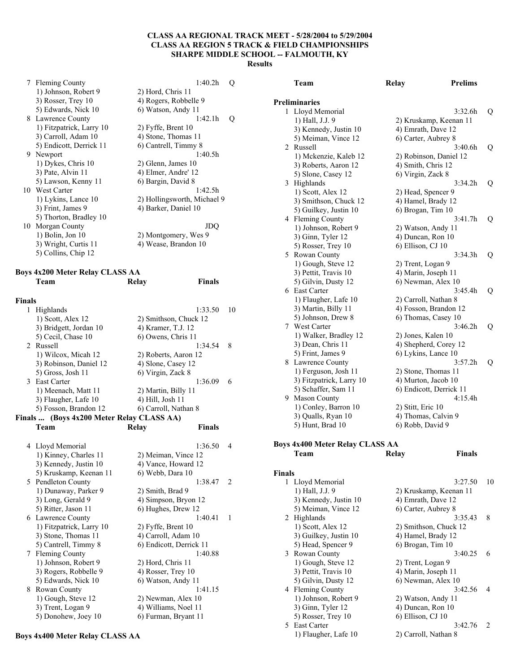7 Fleming County 1:40.2h Q 1) Johnson, Robert 9 2) Hord, Chris 11 3) Rosser, Trey 10 4) Rogers, Robbelle 9 5) Edwards, Nick 10 6) Watson, Andy 11 8 Lawrence County 1:42.1h Q 1) Fitzpatrick, Larry 10 2) Fyffe, Brent 10  $3)$  Carroll, Adam  $10$   $4)$  Stone, Thomas 11 5) Endicott, Derrick 11 6) Cantrell, Timmy 8 9 Newport 1:40.5h 1) Dykes, Chris 10 2) Glenn, James 10 3) Pate, Alvin 11 4) Elmer, Andre' 12 5) Lawson, Kenny 11 6) Bargin, David 8 10 West Carter 1:42.5h 1) Lykins, Lance 10 2) Hollingsworth, Michael 9 3) Frint, James 9 4) Barker, Daniel 10 5) Thorton, Bradley 10 10 Morgan County JDQ 1) Bolin, Jon 10 2) Montgomery, Wes 9 3) Wright, Curtis 11 4) Wease, Brandon 10 5) Collins, Chip 12

#### **Boys 4x200 Meter Relay CLASS AA Team Relay Finals**

| <b>Finals</b><br>1 |                                           | 1:33.50                 | 10             |
|--------------------|-------------------------------------------|-------------------------|----------------|
|                    | Highlands                                 |                         |                |
|                    | 1) Scott, Alex 12                         | 2) Smithson, Chuck 12   |                |
|                    | 3) Bridgett, Jordan 10                    | 4) Kramer, T.J. 12      |                |
|                    | 5) Cecil, Chase 10                        | 6) Owens, Chris 11      | 8              |
| 2                  | Russell                                   | 1:34.54                 |                |
|                    | 1) Wilcox, Micah 12                       | 2) Roberts, Aaron 12    |                |
|                    | 3) Robinson, Daniel 12                    | 4) Slone, Casey 12      |                |
|                    | 5) Gross, Josh 11                         | 6) Virgin, Zack 8       |                |
|                    | 3 East Carter                             | 1:36.09                 | 6              |
|                    | 1) Meenach, Matt 11                       | 2) Martin, Billy 11     |                |
|                    | 3) Flaugher, Lafe 10                      | 4) Hill, Josh 11        |                |
|                    | 5) Fosson, Brandon 12                     | 6) Carroll, Nathan 8    |                |
|                    | Finals  (Boys 4x200 Meter Relay CLASS AA) |                         |                |
|                    | Team                                      | <b>Finals</b><br>Relay  |                |
|                    |                                           |                         |                |
|                    | 4 Lloyd Memorial                          | 1:36.50                 | 4              |
|                    | 1) Kinney, Charles 11                     | 2) Meiman, Vince 12     |                |
|                    | 3) Kennedy, Justin 10                     | 4) Vance, Howard 12     |                |
|                    | 5) Kruskamp, Keenan 11                    | 6) Webb, Dara 10        |                |
|                    | 5 Pendleton County                        | 1:38.47                 | $\overline{2}$ |
|                    | 1) Dunaway, Parker 9                      | 2) Smith, Brad 9        |                |
|                    | 3) Long, Gerald 9                         | 4) Simpson, Bryon 12    |                |
|                    | 5) Ritter, Jason 11                       | 6) Hughes, Drew 12      |                |
|                    | 6 Lawrence County                         | 1.4041                  | 1              |
|                    | 1) Fitzpatrick, Larry 10                  | 2) Fyffe, Brent 10      |                |
|                    | 3) Stone, Thomas 11                       | 4) Carroll, Adam 10     |                |
|                    | 5) Cantrell, Timmy 8                      | 6) Endicott, Derrick 11 |                |
| 7                  | Fleming County                            | 1:40.88                 |                |
|                    | 1) Johnson, Robert 9                      | 2) Hord, Chris 11       |                |
|                    | 3) Rogers, Robbelle 9                     | 4) Rosser, Trey 10      |                |
|                    | 5) Edwards, Nick 10                       | 6) Watson, Andy 11      |                |
|                    | 8 Rowan County                            | 1:41.15                 |                |
|                    | 1) Gough, Steve 12                        | 2) Newman, Alex 10      |                |
|                    | 3) Trent, Logan 9                         | 4) Williams, Noel 11    |                |
|                    | 5) Donohew, Joey 10                       | 6) Furman, Bryant 11    |                |
|                    |                                           |                         |                |

**Boys 4x400 Meter Relay CLASS AA** 

|   | Team                     | Relay                | <b>Prelims</b>          |   |
|---|--------------------------|----------------------|-------------------------|---|
|   | <b>Preliminaries</b>     |                      |                         |   |
| 1 | Lloyd Memorial           |                      | 3:32.6h                 | Q |
|   | 1) Hall, J.J. 9          |                      | 2) Kruskamp, Keenan 11  |   |
|   | 3) Kennedy, Justin 10    | 4) Emrath, Dave 12   |                         |   |
|   | 5) Meiman, Vince 12      | 6) Carter, Aubrey 8  |                         |   |
|   | 2 Russell                |                      | 3:40.6h                 | Q |
|   | 1) Mckenzie, Kaleb 12    |                      | 2) Robinson, Daniel 12  |   |
|   | 3) Roberts, Aaron 12     | 4) Smith, Chris 12   |                         |   |
|   | 5) Slone, Casey 12       | 6) Virgin, Zack 8    |                         |   |
|   | 3 Highlands              |                      | 3:34.2h                 | Q |
|   | 1) Scott, Alex 12        | 2) Head, Spencer 9   |                         |   |
|   | 3) Smithson, Chuck 12    | 4) Hamel, Brady 12   |                         |   |
|   | 5) Guilkey, Justin 10    | 6) Brogan, Tim 10    |                         |   |
|   | 4 Fleming County         |                      | 3:41.7h                 | Q |
|   | 1) Johnson, Robert 9     | 2) Watson, Andy 11   |                         |   |
|   | 3) Ginn, Tyler 12        | 4) Duncan, Ron 10    |                         |   |
|   | 5) Rosser, Trey 10       | 6) Ellison, CJ 10    |                         |   |
|   | 5 Rowan County           |                      | 3:34.3h                 | Q |
|   | 1) Gough, Steve 12       | 2) Trent, Logan 9    |                         |   |
|   | 3) Pettit, Travis 10     | 4) Marin, Joseph 11  |                         |   |
|   | 5) Gilvin, Dusty 12      | 6) Newman, Alex 10   |                         |   |
|   | 6 East Carter            |                      | 3:45.4h                 | Q |
|   | 1) Flaugher, Lafe 10     | 2) Carroll, Nathan 8 |                         |   |
|   | 3) Martin, Billy 11      |                      | 4) Fosson, Brandon 12   |   |
|   | 5) Johnson, Drew 8       | 6) Thomas, Casey 10  |                         |   |
|   | 7 West Carter            |                      | 3:46.2h                 | Q |
|   | 1) Walker, Bradley 12    | 2) Jones, Kalen 10   |                         |   |
|   | 3) Dean, Chris 11        |                      | 4) Shepherd, Corey 12   |   |
|   | 5) Frint, James 9        | 6) Lykins, Lance 10  |                         |   |
|   | 8 Lawrence County        |                      | 3:57.2h                 | Q |
|   | 1) Ferguson, Josh 11     | 2) Stone, Thomas 11  |                         |   |
|   | 3) Fitzpatrick, Larry 10 | 4) Murton, Jacob 10  |                         |   |
|   | 5) Schaffer, Sam 11      |                      | 6) Endicott, Derrick 11 |   |
|   | 9 Mason County           |                      | 4:15.4h                 |   |
|   | 1) Conley, Barron 10     | 2) Stitt, Eric 10    |                         |   |
|   | 3) Qualls, Ryan 10       | 4) Thomas, Calvin 9  |                         |   |
|   | 5) Hunt, Brad 10         | 6) Robb, David 9     |                         |   |

## **Boys 4x400 Meter Relay CLASS AA**

### **Team Relay Finals**

| <b>Finals</b> |                       |                        |                |
|---------------|-----------------------|------------------------|----------------|
|               | 1 Lloyd Memorial      | 3:27.50                | 10             |
|               | 1) Hall, J.J. 9       | 2) Kruskamp, Keenan 11 |                |
|               | 3) Kennedy, Justin 10 | 4) Emrath, Dave 12     |                |
|               | 5) Meiman, Vince 12   | 6) Carter, Aubrey 8    |                |
|               | 2 Highlands           | 3:35.43                | 8              |
|               | 1) Scott, Alex 12     | 2) Smithson, Chuck 12  |                |
|               | 3) Guilkey, Justin 10 | 4) Hamel, Brady 12     |                |
|               | 5) Head, Spencer 9    | 6) Brogan, Tim 10      |                |
|               | 3 Rowan County        | 3:40.25                | 6              |
|               | 1) Gough, Steve 12    | 2) Trent, Logan 9      |                |
|               | 3) Pettit, Travis 10  | 4) Marin, Joseph 11    |                |
|               | 5) Gilvin, Dusty 12   | 6) Newman, Alex 10     |                |
|               | 4 Fleming County      | 3:42.56                | $\overline{4}$ |
|               | 1) Johnson, Robert 9  | 2) Watson, Andy 11     |                |
|               | 3) Ginn, Tyler 12     | 4) Duncan, Ron 10      |                |
|               | 5) Rosser, Trey 10    | 6) Ellison, CJ 10      |                |
|               | 5 East Carter         | 3:42.76                | 2              |
|               | 1) Flaugher, Lafe 10  | 2) Carroll, Nathan 8   |                |